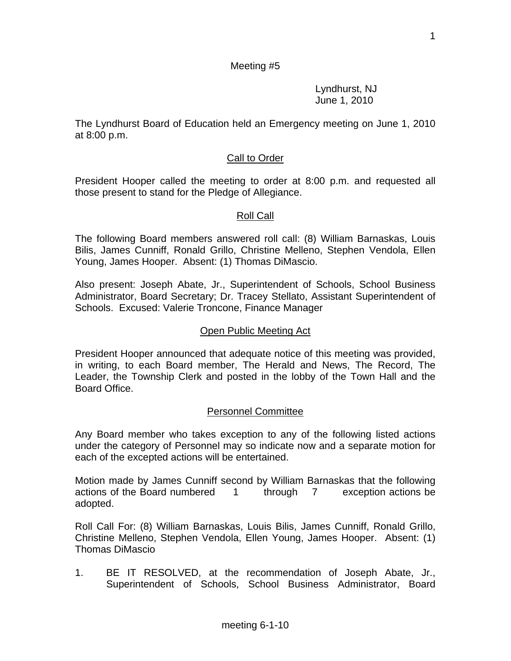### Meeting #5

 Lyndhurst, NJ June 1, 2010

The Lyndhurst Board of Education held an Emergency meeting on June 1, 2010 at 8:00 p.m.

### Call to Order

President Hooper called the meeting to order at 8:00 p.m. and requested all those present to stand for the Pledge of Allegiance.

### Roll Call

The following Board members answered roll call: (8) William Barnaskas, Louis Bilis, James Cunniff, Ronald Grillo, Christine Melleno, Stephen Vendola, Ellen Young, James Hooper. Absent: (1) Thomas DiMascio.

Also present: Joseph Abate, Jr., Superintendent of Schools, School Business Administrator, Board Secretary; Dr. Tracey Stellato, Assistant Superintendent of Schools. Excused: Valerie Troncone, Finance Manager

#### Open Public Meeting Act

President Hooper announced that adequate notice of this meeting was provided, in writing, to each Board member, The Herald and News, The Record, The Leader, the Township Clerk and posted in the lobby of the Town Hall and the Board Office.

### Personnel Committee

Any Board member who takes exception to any of the following listed actions under the category of Personnel may so indicate now and a separate motion for each of the excepted actions will be entertained.

Motion made by James Cunniff second by William Barnaskas that the following actions of the Board numbered 1 through 7 exception actions be adopted.

Roll Call For: (8) William Barnaskas, Louis Bilis, James Cunniff, Ronald Grillo, Christine Melleno, Stephen Vendola, Ellen Young, James Hooper. Absent: (1) Thomas DiMascio

1. BE IT RESOLVED, at the recommendation of Joseph Abate, Jr., Superintendent of Schools, School Business Administrator, Board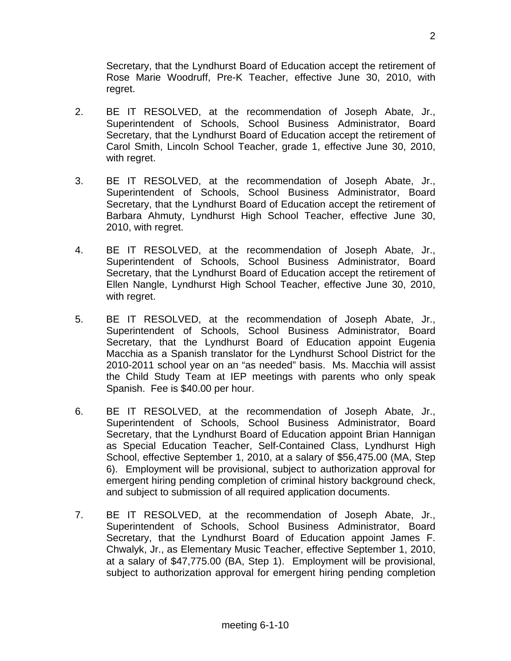Secretary, that the Lyndhurst Board of Education accept the retirement of Rose Marie Woodruff, Pre-K Teacher, effective June 30, 2010, with regret.

- 2. BE IT RESOLVED, at the recommendation of Joseph Abate, Jr., Superintendent of Schools, School Business Administrator, Board Secretary, that the Lyndhurst Board of Education accept the retirement of Carol Smith, Lincoln School Teacher, grade 1, effective June 30, 2010, with regret.
- 3. BE IT RESOLVED, at the recommendation of Joseph Abate, Jr., Superintendent of Schools, School Business Administrator, Board Secretary, that the Lyndhurst Board of Education accept the retirement of Barbara Ahmuty, Lyndhurst High School Teacher, effective June 30, 2010, with regret.
- 4. BE IT RESOLVED, at the recommendation of Joseph Abate, Jr., Superintendent of Schools, School Business Administrator, Board Secretary, that the Lyndhurst Board of Education accept the retirement of Ellen Nangle, Lyndhurst High School Teacher, effective June 30, 2010, with regret.
- 5. BE IT RESOLVED, at the recommendation of Joseph Abate, Jr., Superintendent of Schools, School Business Administrator, Board Secretary, that the Lyndhurst Board of Education appoint Eugenia Macchia as a Spanish translator for the Lyndhurst School District for the 2010-2011 school year on an "as needed" basis. Ms. Macchia will assist the Child Study Team at IEP meetings with parents who only speak Spanish. Fee is \$40.00 per hour.
- 6. BE IT RESOLVED, at the recommendation of Joseph Abate, Jr., Superintendent of Schools, School Business Administrator, Board Secretary, that the Lyndhurst Board of Education appoint Brian Hannigan as Special Education Teacher, Self-Contained Class, Lyndhurst High School, effective September 1, 2010, at a salary of \$56,475.00 (MA, Step 6). Employment will be provisional, subject to authorization approval for emergent hiring pending completion of criminal history background check, and subject to submission of all required application documents.
- 7. BE IT RESOLVED, at the recommendation of Joseph Abate, Jr., Superintendent of Schools, School Business Administrator, Board Secretary, that the Lyndhurst Board of Education appoint James F. Chwalyk, Jr., as Elementary Music Teacher, effective September 1, 2010, at a salary of \$47,775.00 (BA, Step 1). Employment will be provisional, subject to authorization approval for emergent hiring pending completion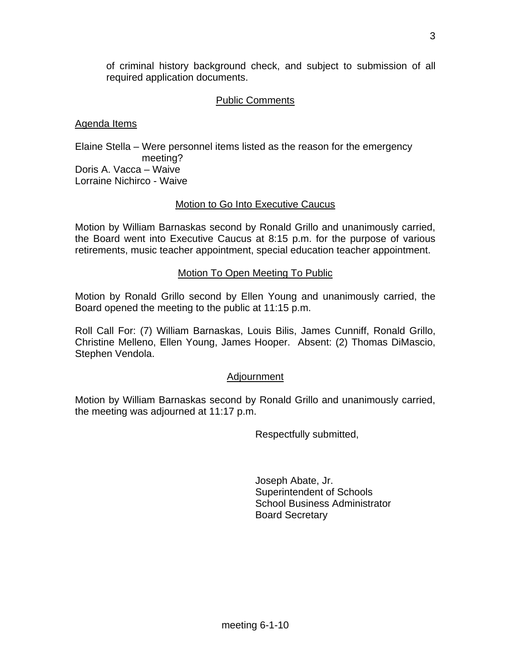of criminal history background check, and subject to submission of all required application documents.

# Public Comments

## Agenda Items

Elaine Stella – Were personnel items listed as the reason for the emergency meeting? Doris A. Vacca – Waive Lorraine Nichirco - Waive

# Motion to Go Into Executive Caucus

Motion by William Barnaskas second by Ronald Grillo and unanimously carried, the Board went into Executive Caucus at 8:15 p.m. for the purpose of various retirements, music teacher appointment, special education teacher appointment.

### Motion To Open Meeting To Public

Motion by Ronald Grillo second by Ellen Young and unanimously carried, the Board opened the meeting to the public at 11:15 p.m.

Roll Call For: (7) William Barnaskas, Louis Bilis, James Cunniff, Ronald Grillo, Christine Melleno, Ellen Young, James Hooper. Absent: (2) Thomas DiMascio, Stephen Vendola.

### Adjournment

Motion by William Barnaskas second by Ronald Grillo and unanimously carried, the meeting was adjourned at 11:17 p.m.

Respectfully submitted,

 Joseph Abate, Jr. Superintendent of Schools School Business Administrator Board Secretary